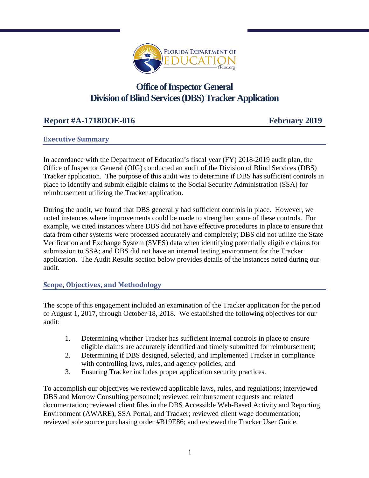

# **Office of Inspector General Division of Blind Services(DBS)Tracker Application**

# **Report #A-1718DOE-016 February 2019**

## **Executive Summary**

In accordance with the Department of Education's fiscal year (FY) 2018-2019 audit plan, the Office of Inspector General (OIG) conducted an audit of the Division of Blind Services (DBS) Tracker application. The purpose of this audit was to determine if DBS has sufficient controls in place to identify and submit eligible claims to the Social Security Administration (SSA) for reimbursement utilizing the Tracker application.

During the audit, we found that DBS generally had sufficient controls in place. However, we noted instances where improvements could be made to strengthen some of these controls. For example, we cited instances where DBS did not have effective procedures in place to ensure that data from other systems were processed accurately and completely; DBS did not utilize the State Verification and Exchange System (SVES) data when identifying potentially eligible claims for submission to SSA; and DBS did not have an internal testing environment for the Tracker application. The Audit Results section below provides details of the instances noted during our audit.

## **Scope, Objectives, and Methodology**

The scope of this engagement included an examination of the Tracker application for the period of August 1, 2017, through October 18, 2018. We established the following objectives for our audit:

- 1. Determining whether Tracker has sufficient internal controls in place to ensure eligible claims are accurately identified and timely submitted for reimbursement;
- 2. Determining if DBS designed, selected, and implemented Tracker in compliance with controlling laws, rules, and agency policies; and
- 3. Ensuring Tracker includes proper application security practices.

To accomplish our objectives we reviewed applicable laws, rules, and regulations; interviewed DBS and Morrow Consulting personnel; reviewed reimbursement requests and related documentation; reviewed client files in the DBS Accessible Web-Based Activity and Reporting Environment (AWARE), SSA Portal, and Tracker; reviewed client wage documentation; reviewed sole source purchasing order #B19E86; and reviewed the Tracker User Guide.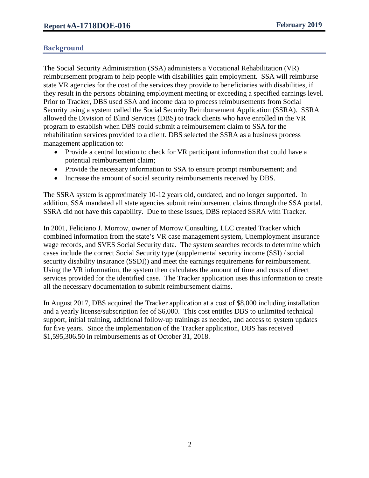# **Background**

The Social Security Administration (SSA) administers a Vocational Rehabilitation (VR) reimbursement program to help people with disabilities gain employment. SSA will reimburse state VR agencies for the cost of the services they provide to beneficiaries with disabilities, if they result in the persons obtaining employment meeting or exceeding a specified earnings level. Prior to Tracker, DBS used SSA and income data to process reimbursements from Social Security using a system called the Social Security Reimbursement Application (SSRA). SSRA allowed the Division of Blind Services (DBS) to track clients who have enrolled in the VR program to establish when DBS could submit a reimbursement claim to SSA for the rehabilitation services provided to a client. DBS selected the SSRA as a business process management application to:

- Provide a central location to check for VR participant information that could have a potential reimbursement claim;
- Provide the necessary information to SSA to ensure prompt reimbursement; and
- Increase the amount of social security reimbursements received by DBS.

The SSRA system is approximately 10-12 years old, outdated, and no longer supported. In addition, SSA mandated all state agencies submit reimbursement claims through the SSA portal. SSRA did not have this capability. Due to these issues, DBS replaced SSRA with Tracker.

In 2001, Feliciano J. Morrow, owner of Morrow Consulting, LLC created Tracker which combined information from the state's VR case management system, Unemployment Insurance wage records, and SVES Social Security data. The system searches records to determine which cases include the correct Social Security type (supplemental security income (SSI) / social security disability insurance (SSDI)) and meet the earnings requirements for reimbursement. Using the VR information, the system then calculates the amount of time and costs of direct services provided for the identified case. The Tracker application uses this information to create all the necessary documentation to submit reimbursement claims.

In August 2017, DBS acquired the Tracker application at a cost of \$8,000 including installation and a yearly license/subscription fee of \$6,000. This cost entitles DBS to unlimited technical support, initial training, additional follow-up trainings as needed, and access to system updates for five years. Since the implementation of the Tracker application, DBS has received \$1,595,306.50 in reimbursements as of October 31, 2018.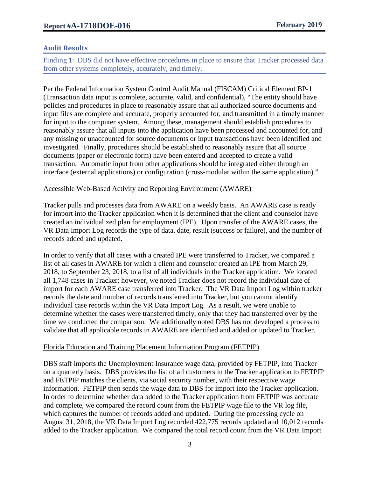## **Audit Results**

Finding 1: DBS did not have effective procedures in place to ensure that Tracker processed data from other systems completely, accurately, and timely.

Per the Federal Information System Control Audit Manual (FISCAM) Critical Element BP-1 (Transaction data input is complete, accurate, valid, and confidential), "The entity should have policies and procedures in place to reasonably assure that all authorized source documents and input files are complete and accurate, properly accounted for, and transmitted in a timely manner for input to the computer system. Among these, management should establish procedures to reasonably assure that all inputs into the application have been processed and accounted for, and any missing or unaccounted for source documents or input transactions have been identified and investigated. Finally, procedures should be established to reasonably assure that all source documents (paper or electronic form) have been entered and accepted to create a valid transaction. Automatic input from other applications should be integrated either through an interface (external applications) or configuration (cross-modular within the same application)."

#### Accessible Web-Based Activity and Reporting Environment (AWARE)

Tracker pulls and processes data from AWARE on a weekly basis. An AWARE case is ready for import into the Tracker application when it is determined that the client and counselor have created an individualized plan for employment (IPE). Upon transfer of the AWARE cases, the VR Data Import Log records the type of data, date, result (success or failure), and the number of records added and updated.

In order to verify that all cases with a created IPE were transferred to Tracker, we compared a list of all cases in AWARE for which a client and counselor created an IPE from March 29, 2018, to September 23, 2018, to a list of all individuals in the Tracker application. We located all 1,748 cases in Tracker; however, we noted Tracker does not record the individual date of import for each AWARE case transferred into Tracker. The VR Data Import Log within tracker records the date and number of records transferred into Tracker, but you cannot identify individual case records within the VR Data Import Log. As a result, we were unable to determine whether the cases were transferred timely, only that they had transferred over by the time we conducted the comparison. We additionally noted DBS has not developed a process to validate that all applicable records in AWARE are identified and added or updated to Tracker.

## Florida Education and Training Placement Information Program (FETPIP)

DBS staff imports the Unemployment Insurance wage data, provided by FETPIP, into Tracker on a quarterly basis. DBS provides the list of all customers in the Tracker application to FETPIP and FETPIP matches the clients, via social security number, with their respective wage information. FETPIP then sends the wage data to DBS for import into the Tracker application. In order to determine whether data added to the Tracker application from FETPIP was accurate and complete, we compared the record count from the FETPIP wage file to the VR log file, which captures the number of records added and updated. During the processing cycle on August 31, 2018, the VR Data Import Log recorded 422,775 records updated and 10,012 records added to the Tracker application. We compared the total record count from the VR Data Import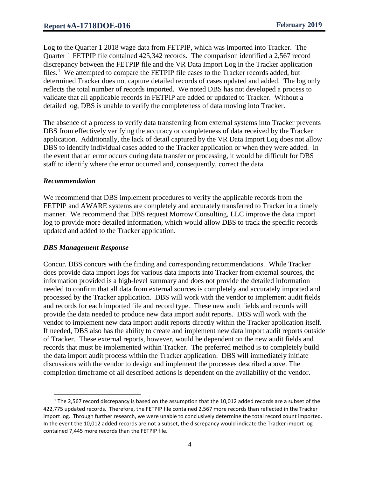Log to the Quarter 1 2018 wage data from FETPIP, which was imported into Tracker. The Quarter 1 FETPIP file contained 425,342 records. The comparison identified a 2,567 record discrepancy between the FETPIP file and the VR Data Import Log in the Tracker application files.<sup>[1](#page-3-0)</sup> We attempted to compare the FETPIP file cases to the Tracker records added, but determined Tracker does not capture detailed records of cases updated and added. The log only reflects the total number of records imported. We noted DBS has not developed a process to validate that all applicable records in FETPIP are added or updated to Tracker. Without a detailed log, DBS is unable to verify the completeness of data moving into Tracker.

The absence of a process to verify data transferring from external systems into Tracker prevents DBS from effectively verifying the accuracy or completeness of data received by the Tracker application. Additionally, the lack of detail captured by the VR Data Import Log does not allow DBS to identify individual cases added to the Tracker application or when they were added. In the event that an error occurs during data transfer or processing, it would be difficult for DBS staff to identify where the error occurred and, consequently, correct the data.

#### *Recommendation*

 $\overline{\phantom{a}}$ 

We recommend that DBS implement procedures to verify the applicable records from the FETPIP and AWARE systems are completely and accurately transferred to Tracker in a timely manner. We recommend that DBS request Morrow Consulting, LLC improve the data import log to provide more detailed information, which would allow DBS to track the specific records updated and added to the Tracker application.

## *DBS Management Response*

Concur. DBS concurs with the finding and corresponding recommendations. While Tracker does provide data import logs for various data imports into Tracker from external sources, the information provided is a high-level summary and does not provide the detailed information needed to confirm that all data from external sources is completely and accurately imported and processed by the Tracker application. DBS will work with the vendor to implement audit fields and records for each imported file and record type. These new audit fields and records will provide the data needed to produce new data import audit reports. DBS will work with the vendor to implement new data import audit reports directly within the Tracker application itself. If needed, DBS also has the ability to create and implement new data import audit reports outside of Tracker. These external reports, however, would be dependent on the new audit fields and records that must be implemented within Tracker. The preferred method is to completely build the data import audit process within the Tracker application. DBS will immediately initiate discussions with the vendor to design and implement the processes described above. The completion timeframe of all described actions is dependent on the availability of the vendor.

<span id="page-3-0"></span> $1$  The 2,567 record discrepancy is based on the assumption that the 10,012 added records are a subset of the 422,775 updated records. Therefore, the FETPIP file contained 2,567 more records than reflected in the Tracker import log. Through further research, we were unable to conclusively determine the total record count imported. In the event the 10,012 added records are not a subset, the discrepancy would indicate the Tracker import log contained 7,445 more records than the FETPIP file.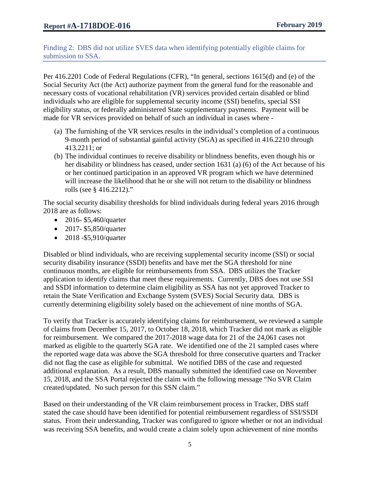Finding 2: DBS did not utilize SVES data when identifying potentially eligible claims for submission to SSA.

Per 416.2201 Code of Federal Regulations (CFR), "In general, sections 1615(d) and (e) of the Social Security Act (the Act) authorize payment from the general fund for the reasonable and necessary costs of vocational rehabilitation (VR) services provided certain disabled or blind individuals who are eligible for supplemental security income (SSI) benefits, special SSI eligibility status, or federally administered State supplementary payments. Payment will be made for VR services provided on behalf of such an individual in cases where -

- (a) The furnishing of the VR services results in the individual's completion of a continuous 9-month period of substantial gainful activity (SGA) as specified in 416.2210 through 413.2211; or
- (b) The individual continues to receive disability or blindness benefits, even though his or her disability or blindness has ceased, under section 1631 (a) (6) of the Act because of his or her continued participation in an approved VR program which we have determined will increase the likelihood that he or she will not return to the disability or blindness rolls (see § 416.2212)."

The social security disability thresholds for blind individuals during federal years 2016 through 2018 are as follows:

- 2016- \$5,460/quarter
- 2017- \$5,850/quarter
- 2018 \$5,910/quarter

Disabled or blind individuals, who are receiving supplemental security income (SSI) or social security disability insurance (SSDI) benefits and have met the SGA threshold for nine continuous months, are eligible for reimbursements from SSA. DBS utilizes the Tracker application to identify claims that meet these requirements. Currently, DBS does not use SSI and SSDI information to determine claim eligibility as SSA has not yet approved Tracker to retain the State Verification and Exchange System (SVES) Social Security data. DBS is currently determining eligibility solely based on the achievement of nine months of SGA.

To verify that Tracker is accurately identifying claims for reimbursement, we reviewed a sample of claims from December 15, 2017, to October 18, 2018, which Tracker did not mark as eligible for reimbursement. We compared the 2017-2018 wage data for 21 of the 24,061 cases not marked as eligible to the quarterly SGA rate. We identified one of the 21 sampled cases where the reported wage data was above the SGA threshold for three consecutive quarters and Tracker did not flag the case as eligible for submittal. We notified DBS of the case and requested additional explanation. As a result, DBS manually submitted the identified case on November 15, 2018, and the SSA Portal rejected the claim with the following message "No SVR Claim created/updated. No such person for this SSN claim."

Based on their understanding of the VR claim reimbursement process in Tracker, DBS staff stated the case should have been identified for potential reimbursement regardless of SSI/SSDI status. From their understanding, Tracker was configured to ignore whether or not an individual was receiving SSA benefits, and would create a claim solely upon achievement of nine months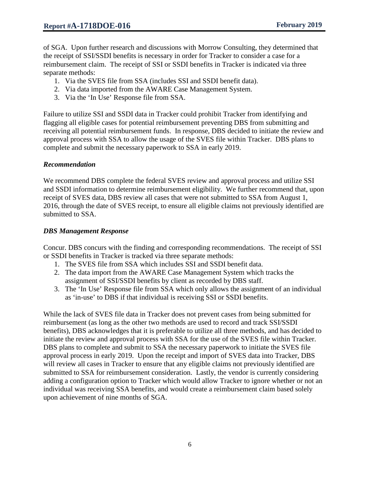of SGA. Upon further research and discussions with Morrow Consulting, they determined that the receipt of SSI/SSDI benefits is necessary in order for Tracker to consider a case for a reimbursement claim. The receipt of SSI or SSDI benefits in Tracker is indicated via three separate methods:

- 1. Via the SVES file from SSA (includes SSI and SSDI benefit data).
- 2. Via data imported from the AWARE Case Management System.
- 3. Via the 'In Use' Response file from SSA.

Failure to utilize SSI and SSDI data in Tracker could prohibit Tracker from identifying and flagging all eligible cases for potential reimbursement preventing DBS from submitting and receiving all potential reimbursement funds. In response, DBS decided to initiate the review and approval process with SSA to allow the usage of the SVES file within Tracker. DBS plans to complete and submit the necessary paperwork to SSA in early 2019.

## *Recommendation*

We recommend DBS complete the federal SVES review and approval process and utilize SSI and SSDI information to determine reimbursement eligibility. We further recommend that, upon receipt of SVES data, DBS review all cases that were not submitted to SSA from August 1, 2016, through the date of SVES receipt, to ensure all eligible claims not previously identified are submitted to SSA.

#### *DBS Management Response*

Concur. DBS concurs with the finding and corresponding recommendations. The receipt of SSI or SSDI benefits in Tracker is tracked via three separate methods:

- 1. The SVES file from SSA which includes SSI and SSDI benefit data.
- 2. The data import from the AWARE Case Management System which tracks the assignment of SSI/SSDI benefits by client as recorded by DBS staff.
- 3. The 'In Use' Response file from SSA which only allows the assignment of an individual as 'in-use' to DBS if that individual is receiving SSI or SSDI benefits.

While the lack of SVES file data in Tracker does not prevent cases from being submitted for reimbursement (as long as the other two methods are used to record and track SSI/SSDI benefits), DBS acknowledges that it is preferable to utilize all three methods, and has decided to initiate the review and approval process with SSA for the use of the SVES file within Tracker. DBS plans to complete and submit to SSA the necessary paperwork to initiate the SVES file approval process in early 2019. Upon the receipt and import of SVES data into Tracker, DBS will review all cases in Tracker to ensure that any eligible claims not previously identified are submitted to SSA for reimbursement consideration. Lastly, the vendor is currently considering adding a configuration option to Tracker which would allow Tracker to ignore whether or not an individual was receiving SSA benefits, and would create a reimbursement claim based solely upon achievement of nine months of SGA.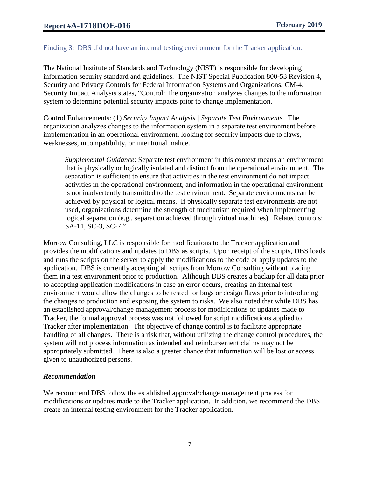# Finding 3: DBS did not have an internal testing environment for the Tracker application.

The National Institute of Standards and Technology (NIST) is responsible for developing information security standard and guidelines. The NIST Special Publication 800-53 Revision 4, Security and Privacy Controls for Federal Information Systems and Organizations, CM-4, Security Impact Analysis states, "Control: The organization analyzes changes to the information system to determine potential security impacts prior to change implementation.

Control Enhancements: (1) *Security Impact Analysis | Separate Test Environments.* The organization analyzes changes to the information system in a separate test environment before implementation in an operational environment, looking for security impacts due to flaws, weaknesses, incompatibility, or intentional malice.

*Supplemental Guidance*: Separate test environment in this context means an environment that is physically or logically isolated and distinct from the operational environment. The separation is sufficient to ensure that activities in the test environment do not impact activities in the operational environment, and information in the operational environment is not inadvertently transmitted to the test environment. Separate environments can be achieved by physical or logical means. If physically separate test environments are not used, organizations determine the strength of mechanism required when implementing logical separation (e.g., separation achieved through virtual machines). Related controls: SA-11, SC-3, SC-7."

Morrow Consulting, LLC is responsible for modifications to the Tracker application and provides the modifications and updates to DBS as scripts. Upon receipt of the scripts, DBS loads and runs the scripts on the server to apply the modifications to the code or apply updates to the application. DBS is currently accepting all scripts from Morrow Consulting without placing them in a test environment prior to production. Although DBS creates a backup for all data prior to accepting application modifications in case an error occurs, creating an internal test environment would allow the changes to be tested for bugs or design flaws prior to introducing the changes to production and exposing the system to risks. We also noted that while DBS has an established approval/change management process for modifications or updates made to Tracker, the formal approval process was not followed for script modifications applied to Tracker after implementation. The objective of change control is to facilitate appropriate handling of all changes. There is a risk that, without utilizing the change control procedures, the system will not process information as intended and reimbursement claims may not be appropriately submitted. There is also a greater chance that information will be lost or access given to unauthorized persons.

## *Recommendation*

We recommend DBS follow the established approval/change management process for modifications or updates made to the Tracker application. In addition, we recommend the DBS create an internal testing environment for the Tracker application.